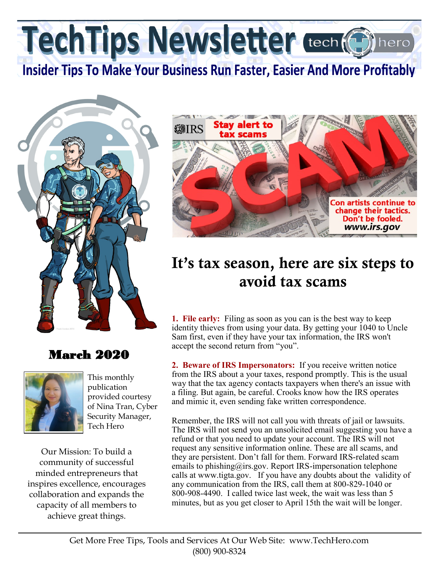TechTips Newsletter tech (6)

**Insider Tips To Make Your Business Run Faster, Easier And More Profitably** 



## March 2020



This monthly publication provided courtesy of Nina Tran, Cyber Security Manager, Tech Hero

Our Mission: To build a community of successful minded entrepreneurs that inspires excellence, encourages collaboration and expands the capacity of all members to achieve great things.



## It's tax season, here are six steps to avoid tax scams

**1. File early:** Filing as soon as you can is the best way to keep identity thieves from using your data. By getting your 1040 to Uncle Sam first, even if they have your tax information, the IRS won't accept the second return from "you".

**2. Beware of IRS Impersonators:** If you receive written notice from the IRS about a your taxes, respond promptly. This is the usual way that the tax agency contacts taxpayers when there's an issue with a filing. But again, be careful. Crooks know how the IRS operates and mimic it, even sending fake written correspondence.

Remember, the IRS will not call you with threats of jail or lawsuits. The IRS will not send you an unsolicited email suggesting you have a refund or that you need to update your account. The IRS will not request any sensitive information online. These are all scams, and they are persistent. Don't fall for them. Forward IRS-related scam emails to phishing@irs.gov. Report IRS-impersonation telephone calls at www.tigta.gov. If you have any doubts about the validity of any communication from the IRS, call them at 800-829-1040 or 800-908-4490. I called twice last week, the wait was less than 5 minutes, but as you get closer to April 15th the wait will be longer.